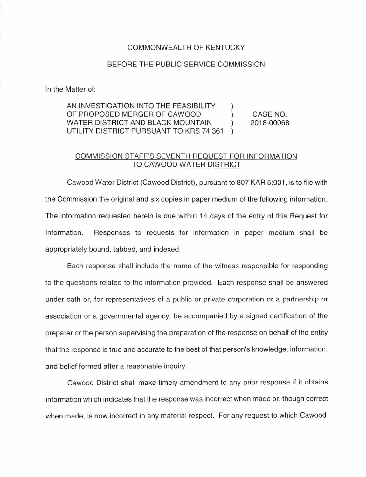## COMMONWEALTH OF KENTUCKY

## BEFORE THE PUBLIC SERVICE COMMISSION

In the Matter of:

AN INVESTIGATION INTO THE FEASIBILITY OF PROPOSED MERGER OF CAWOOD WATER DISTRICT AND BLACK MOUNTAIN ) UTILITY DISTRICT PURSUANT TO KRS 74.361 ) CASE NO. 2018-00068

## COMMISSION STAFF'S SEVENTH REQUEST FOR INFORMATION TO CAWOOD WATER DISTRICT

Cawood Water District (Cawood District), pursuant to 807 KAR 5:001 , is to file with the Commission the original and six copies in paper medium of the following information. The information requested herein is due within 14 days of the entry of this Request for Information. Responses to requests for information in paper medium shall be appropriately bound, tabbed, and indexed.

Each response shall include the name of the witness responsible for responding to the questions related to the information provided. Each response shall be answered under oath or, for representatives of a public or private corporation or a partnership or association or a governmental agency, be accompanied by a signed certification of the preparer or the person supervising the preparation of the response on behalf of the entity that the response is true and accurate to the best of that person's knowledge, information, and belief formed after a reasonable inquiry.

Cawood District shall make timely amendment to any prior response if it obtains information which indicates that the response was incorrect when made or, though correct when made, is now incorrect in any material respect. For any request to which Cawood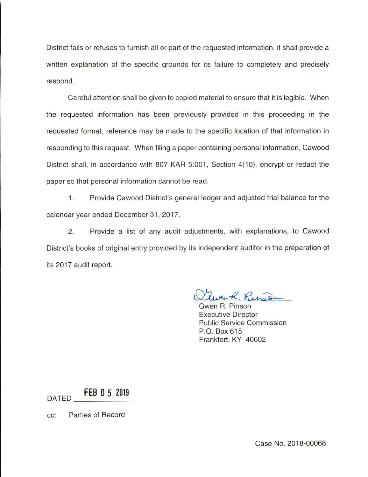District fails or refuses to furnish all or part of the requested information, it shall provide a written explanation of the specific grounds for its failure to completely and precisely respond.

Careful attention shall be given to copied material to ensure that it is legible. When the requested information has been previously provided in this proceeding in the requested format, reference may be made to the specific location of that information in responding to this request. When filing a paper containing personal information, Cawood District shall, in accordance with 807 KAR 5:001, Section 4(10), encrypt or redact the paper so that personal information cannot be read.

1. Provide Cawood District's general ledger and adjusted trial balance for the calendar year ended December 31 , 2017.

2. Provide a list of any audit adjustments, with explanations, to Cawood District's books of original entry provided by its independent auditor in the preparation of its 2017 audit report.

re R. Purs

Gwen R. Pinson Executive Director Public Service Commission P.O. Box 615 Frankfort, KY 40602

DATED **\_ F\_EB\_ 0 \_5 \_2\_019 \_\_** 

cc: Parties of Record